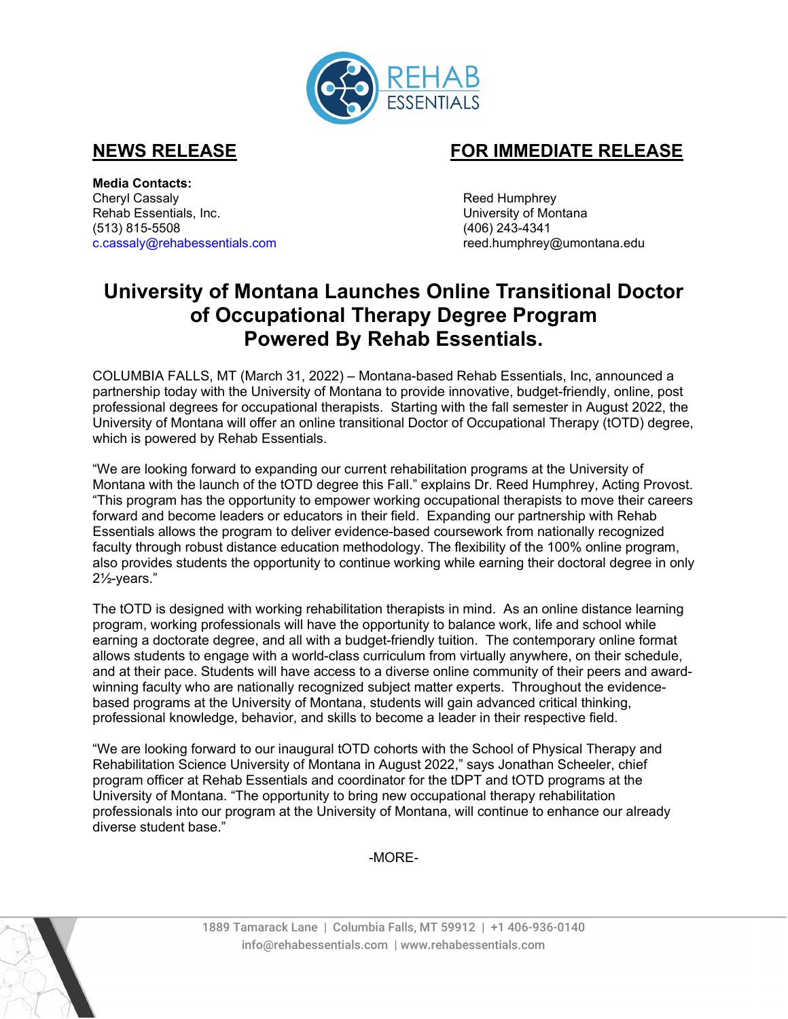

## **NEWS RELEASE FOR IMMEDIATE RELEASE**

**Media Contacts:**  Cheryl Cassaly Reed Humphrey Rehab Essentials, Inc. (513) 815-5508 (406) 243-4341 [c.cassaly@rehabessentials.com](mailto:c.cassaly@rehabessentials.com)

# **University of Montana Launches Online Transitional Doctor of Occupational Therapy Degree Program Powered By Rehab Essentials.**

COLUMBIA FALLS, MT (March 31, 2022) – Montana-based Rehab Essentials, Inc, announced a partnership today with the University of Montana to provide innovative, budget-friendly, online, post professional degrees for occupational therapists. Starting with the fall semester in August 2022, the University of Montana will offer an online transitional Doctor of Occupational Therapy (tOTD) degree, which is powered by Rehab Essentials.

"We are looking forward to expanding our current rehabilitation programs at the University of Montana with the launch of the tOTD degree this Fall." explains Dr. Reed Humphrey, Acting Provost. "This program has the opportunity to empower working occupational therapists to move their careers forward and become leaders or educators in their field. Expanding our partnership with Rehab Essentials allows the program to deliver evidence-based coursework from nationally recognized faculty through robust distance education methodology. The flexibility of the 100% online program, also provides students the opportunity to continue working while earning their doctoral degree in only 2½-years."

The tOTD is designed with working rehabilitation therapists in mind. As an online distance learning program, working professionals will have the opportunity to balance work, life and school while earning a doctorate degree, and all with a budget-friendly tuition. The contemporary online format allows students to engage with a world-class curriculum from virtually anywhere, on their schedule, and at their pace. Students will have access to a diverse online community of their peers and awardwinning faculty who are nationally recognized subject matter experts. Throughout the evidencebased programs at the University of Montana, students will gain advanced critical thinking, professional knowledge, behavior, and skills to become a leader in their respective field.

"We are looking forward to our inaugural tOTD cohorts with the School of Physical Therapy and Rehabilitation Science University of Montana in August 2022," says Jonathan Scheeler, chief program officer at Rehab Essentials and coordinator for the tDPT and tOTD programs at the University of Montana. "The opportunity to bring new occupational therapy rehabilitation professionals into our program at the University of Montana, will continue to enhance our already diverse student base."

-MORE-